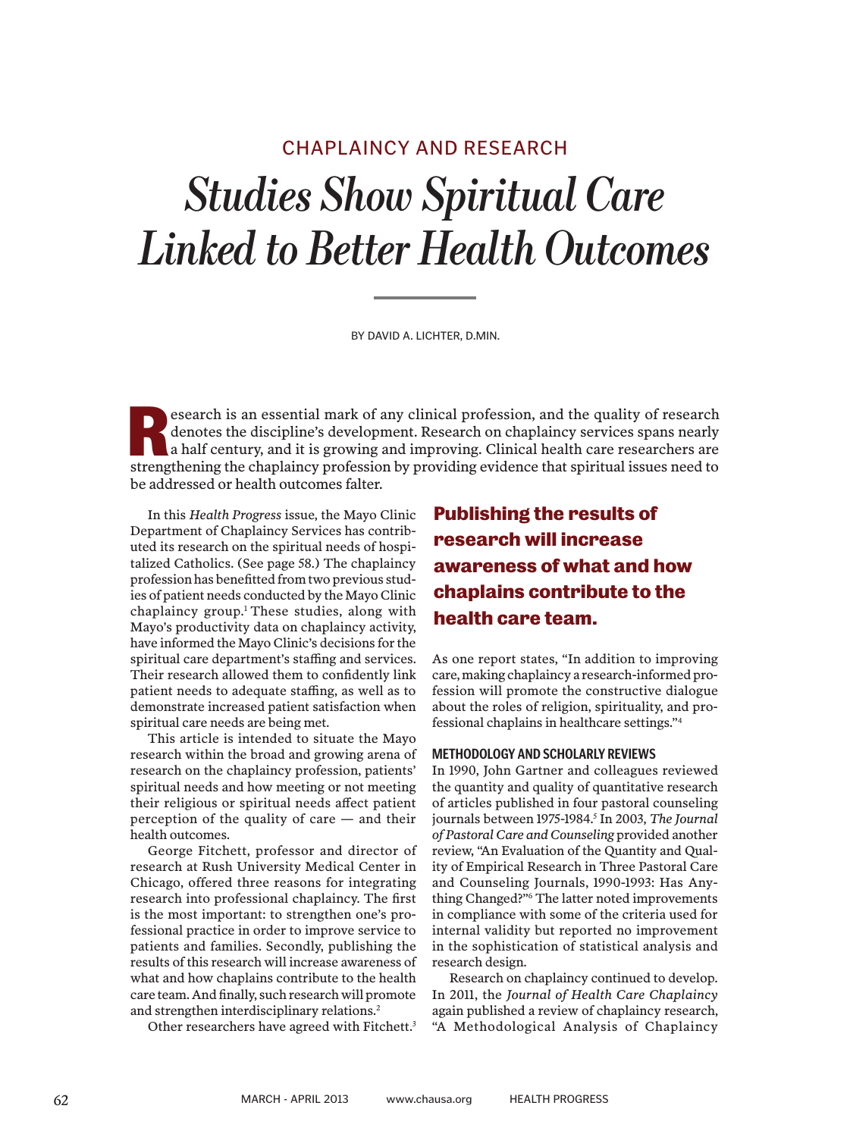# *Studies Show Spiritual Care Linked to Better Health Outcomes* CHAPLAINCY AND RESEARCH

BY DAVID A. LICHTER, D.MIN.

esearch is an essential mark of any clinical profession, and the quality of research denotes the discipline's development. Research on chaplaincy services spans nearly a half century, and it is growing and improving. Clinical health care researchers are strengthening the chaplaincy profession by providing evidence that spiritual issues need to the chaplaincy profession by providing evidence that spiritual issues need to be addressed or health outcomes falter.

In this *Health Progress* issue, the Mayo Clinic Department of Chaplaincy Services has contributed its research on the spiritual needs of hospitalized Catholics. (See page 58.) The chaplaincy profession has benefitted from two previous studies of patient needs conducted by the Mayo Clinic chaplaincy group.1 These studies, along with Mayo's productivity data on chaplaincy activity, have informed the Mayo Clinic's decisions for the spiritual care department's staffing and services. Their research allowed them to confidently link patient needs to adequate staffing, as well as to demonstrate increased patient satisfaction when spiritual care needs are being met.

This article is intended to situate the Mayo research within the broad and growing arena of research on the chaplaincy profession, patients' spiritual needs and how meeting or not meeting their religious or spiritual needs affect patient perception of the quality of care — and their health outcomes.

George Fitchett, professor and director of research at Rush University Medical Center in Chicago, offered three reasons for integrating research into professional chaplaincy. The first is the most important: to strengthen one's professional practice in order to improve service to patients and families. Secondly, publishing the results of this research will increase awareness of what and how chaplains contribute to the health care team. And finally, such research will promote and strengthen interdisciplinary relations.2

Other researchers have agreed with Fitchett.<sup>3</sup>

# **Publishing the results of research will increase awareness of what and how chaplains contribute to the health care team.**

As one report states, "In addition to improving care, making chaplaincy a research-informed profession will promote the constructive dialogue about the roles of religion, spirituality, and professional chaplains in healthcare settings."4

### **METHODOLOGY AND SCHOLARLY REVIEWS**

In 1990, John Gartner and colleagues reviewed the quantity and quality of quantitative research of articles published in four pastoral counseling journals between 1975-1984.5 In 2003, *The Journal of Pastoral Care and Counseling* provided another review, "An Evaluation of the Quantity and Quality of Empirical Research in Three Pastoral Care and Counseling Journals, 1990-1993: Has Anything Changed?"6 The latter noted improvements in compliance with some of the criteria used for internal validity but reported no improvement in the sophistication of statistical analysis and research design.

Research on chaplaincy continued to develop. In 2011, the *Journal of Health Care Chaplaincy*  again published a review of chaplaincy research, "A Methodological Analysis of Chaplaincy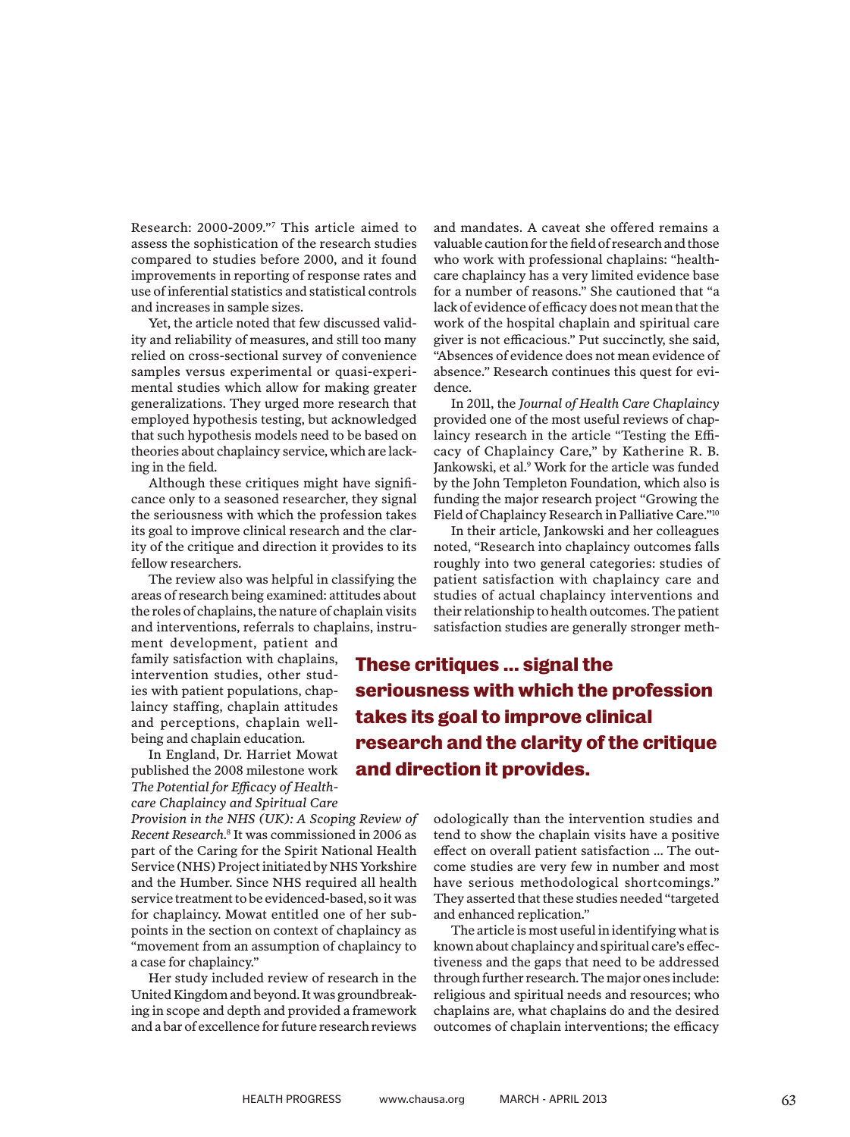Research: 2000-2009."7 This article aimed to assess the sophistication of the research studies compared to studies before 2000, and it found improvements in reporting of response rates and use of inferential statistics and statistical controls and increases in sample sizes.

Yet, the article noted that few discussed validity and reliability of measures, and still too many relied on cross-sectional survey of convenience samples versus experimental or quasi-experimental studies which allow for making greater generalizations. They urged more research that employed hypothesis testing, but acknowledged that such hypothesis models need to be based on theories about chaplaincy service, which are lacking in the field.

Although these critiques might have significance only to a seasoned researcher, they signal the seriousness with which the profession takes its goal to improve clinical research and the clarity of the critique and direction it provides to its fellow researchers.

The review also was helpful in classifying the areas of research being examined: attitudes about the roles of chaplains, the nature of chaplain visits and interventions, referrals to chaplains, instru-

ment development, patient and family satisfaction with chaplains, intervention studies, other studies with patient populations, chaplaincy staffing, chaplain attitudes and perceptions, chaplain wellbeing and chaplain education.

In England, Dr. Harriet Mowat published the 2008 milestone work *The Potential for Efficacy of Healthcare Chaplaincy and Spiritual Care* 

*Provision in the NHS (UK): A Scoping Review of Recent Research*. 8 It was commissioned in 2006 as part of the Caring for the Spirit National Health Service (NHS) Project initiated by NHS Yorkshire and the Humber. Since NHS required all health service treatment to be evidenced-based, so it was for chaplaincy. Mowat entitled one of her subpoints in the section on context of chaplaincy as "movement from an assumption of chaplaincy to a case for chaplaincy."

Her study included review of research in the United Kingdom and beyond. It was groundbreaking in scope and depth and provided a framework and a bar of excellence for future research reviews and mandates. A caveat she offered remains a valuable caution for the field of research and those who work with professional chaplains: "healthcare chaplaincy has a very limited evidence base for a number of reasons." She cautioned that "a lack of evidence of efficacy does not mean that the work of the hospital chaplain and spiritual care giver is not efficacious." Put succinctly, she said, "Absences of evidence does not mean evidence of absence." Research continues this quest for evidence.

In 2011, the *Journal of Health Care Chaplaincy*  provided one of the most useful reviews of chaplaincy research in the article "Testing the Efficacy of Chaplaincy Care," by Katherine R. B. Jankowski, et al.<sup>9</sup> Work for the article was funded by the John Templeton Foundation, which also is funding the major research project "Growing the Field of Chaplaincy Research in Palliative Care."10

In their article, Jankowski and her colleagues noted, "Research into chaplaincy outcomes falls roughly into two general categories: studies of patient satisfaction with chaplaincy care and studies of actual chaplaincy interventions and their relationship to health outcomes. The patient satisfaction studies are generally stronger meth-

**These critiques ... signal the seriousness with which the profession takes its goal to improve clinical research and the clarity of the critique and direction it provides.**

> odologically than the intervention studies and tend to show the chaplain visits have a positive effect on overall patient satisfaction … The outcome studies are very few in number and most have serious methodological shortcomings." They asserted that these studies needed "targeted and enhanced replication."

> The article is most useful in identifying what is known about chaplaincy and spiritual care's effectiveness and the gaps that need to be addressed through further research. The major ones include: religious and spiritual needs and resources; who chaplains are, what chaplains do and the desired outcomes of chaplain interventions; the efficacy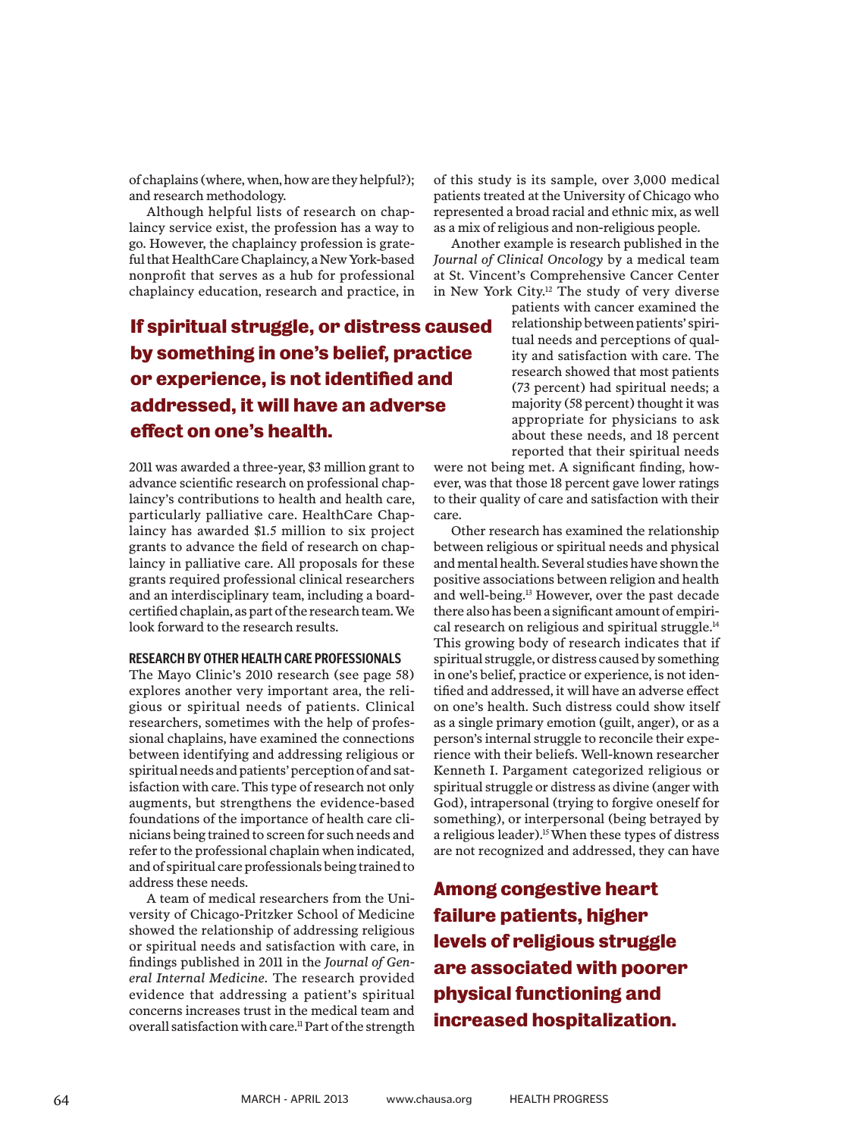of chaplains (where, when, how are they helpful?); and research methodology.

Although helpful lists of research on chaplaincy service exist, the profession has a way to go. However, the chaplaincy profession is grateful that HealthCare Chaplaincy, a New York-based nonprofit that serves as a hub for professional chaplaincy education, research and practice, in

## **If spiritual struggle, or distress caused by something in one's belief, practice or experience, is not identified and addressed, it will have an adverse effect on one's health.**

2011 was awarded a three-year, \$3 million grant to advance scientific research on professional chaplaincy's contributions to health and health care, particularly palliative care. HealthCare Chaplaincy has awarded \$1.5 million to six project grants to advance the field of research on chaplaincy in palliative care. All proposals for these grants required professional clinical researchers and an interdisciplinary team, including a boardcertified chaplain, as part of the research team. We look forward to the research results.

## **RESEARCH BY OTHER HEALTH CARE PROFESSIONALS**

The Mayo Clinic's 2010 research (see page 58) explores another very important area, the religious or spiritual needs of patients. Clinical researchers, sometimes with the help of professional chaplains, have examined the connections between identifying and addressing religious or spiritual needs and patients' perception of and satisfaction with care. This type of research not only augments, but strengthens the evidence-based foundations of the importance of health care clinicians being trained to screen for such needs and refer to the professional chaplain when indicated, and of spiritual care professionals being trained to address these needs.

A team of medical researchers from the University of Chicago-Pritzker School of Medicine showed the relationship of addressing religious or spiritual needs and satisfaction with care, in findings published in 2011 in the *Journal of General Internal Medicine*. The research provided evidence that addressing a patient's spiritual concerns increases trust in the medical team and overall satisfaction with care.<sup>11</sup> Part of the strength

of this study is its sample, over 3,000 medical patients treated at the University of Chicago who represented a broad racial and ethnic mix, as well as a mix of religious and non-religious people.

Another example is research published in the *Journal of Clinical Oncology* by a medical team at St. Vincent's Comprehensive Cancer Center in New York City.12 The study of very diverse

> patients with cancer examined the relationship between patients' spiritual needs and perceptions of quality and satisfaction with care. The research showed that most patients (73 percent) had spiritual needs; a majority (58 percent) thought it was appropriate for physicians to ask about these needs, and 18 percent reported that their spiritual needs

were not being met. A significant finding, however, was that those 18 percent gave lower ratings to their quality of care and satisfaction with their care.

Other research has examined the relationship between religious or spiritual needs and physical and mental health. Several studies have shown the positive associations between religion and health and well-being.13 However, over the past decade there also has been a significant amount of empirical research on religious and spiritual struggle.<sup>14</sup> This growing body of research indicates that if spiritual struggle, or distress caused by something in one's belief, practice or experience, is not identified and addressed, it will have an adverse effect on one's health. Such distress could show itself as a single primary emotion (guilt, anger), or as a person's internal struggle to reconcile their experience with their beliefs. Well-known researcher Kenneth I. Pargament categorized religious or spiritual struggle or distress as divine (anger with God), intrapersonal (trying to forgive oneself for something), or interpersonal (being betrayed by a religious leader).<sup>15</sup> When these types of distress are not recognized and addressed, they can have

**Among congestive heart failure patients, higher levels of religious struggle are associated with poorer physical functioning and increased hospitalization.**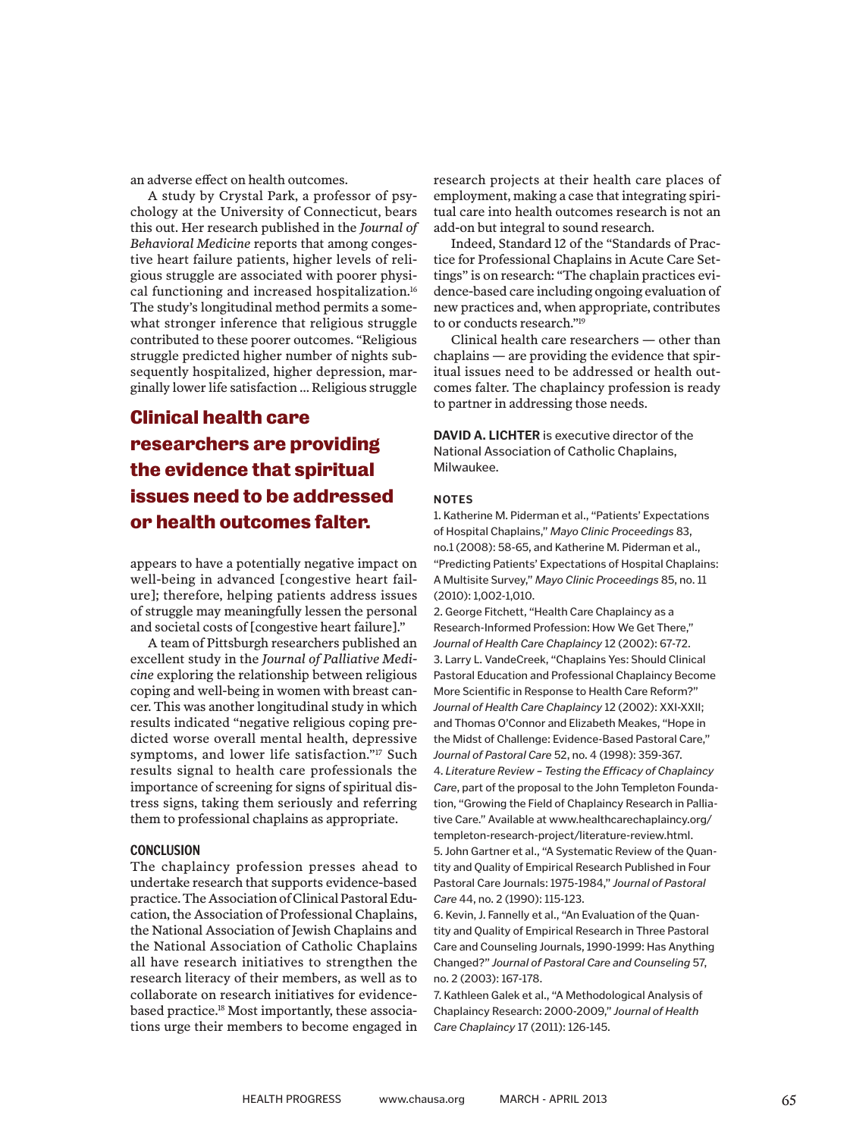an adverse effect on health outcomes.

A study by Crystal Park, a professor of psychology at the University of Connecticut, bears this out. Her research published in the *Journal of Behavioral Medicine* reports that among congestive heart failure patients, higher levels of religious struggle are associated with poorer physical functioning and increased hospitalization.16 The study's longitudinal method permits a somewhat stronger inference that religious struggle contributed to these poorer outcomes. "Religious struggle predicted higher number of nights subsequently hospitalized, higher depression, marginally lower life satisfaction … Religious struggle

## **Clinical health care researchers are providing the evidence that spiritual issues need to be addressed or health outcomes falter.**

appears to have a potentially negative impact on well-being in advanced [congestive heart failure]; therefore, helping patients address issues of struggle may meaningfully lessen the personal and societal costs of [congestive heart failure]."

A team of Pittsburgh researchers published an excellent study in the *Journal of Palliative Medicine* exploring the relationship between religious coping and well-being in women with breast cancer. This was another longitudinal study in which results indicated "negative religious coping predicted worse overall mental health, depressive symptoms, and lower life satisfaction."17 Such results signal to health care professionals the importance of screening for signs of spiritual distress signs, taking them seriously and referring them to professional chaplains as appropriate.

### **CONCLUSION**

The chaplaincy profession presses ahead to undertake research that supports evidence-based practice. The Association of Clinical Pastoral Education, the Association of Professional Chaplains, the National Association of Jewish Chaplains and the National Association of Catholic Chaplains all have research initiatives to strengthen the research literacy of their members, as well as to collaborate on research initiatives for evidencebased practice.18 Most importantly, these associations urge their members to become engaged in research projects at their health care places of employment, making a case that integrating spiritual care into health outcomes research is not an add-on but integral to sound research.

Indeed, Standard 12 of the "Standards of Practice for Professional Chaplains in Acute Care Settings" is on research: "The chaplain practices evidence-based care including ongoing evaluation of new practices and, when appropriate, contributes to or conducts research."19

Clinical health care researchers — other than chaplains — are providing the evidence that spiritual issues need to be addressed or health outcomes falter. The chaplaincy profession is ready to partner in addressing those needs.

**DAVID A. LICHTER** is executive director of the National Association of Catholic Chaplains, Milwaukee.

### **NOTES**

1. Katherine M. Piderman et al., "Patients' Expectations of Hospital Chaplains," *Mayo Clinic Proceedings* 83, no.1 (2008): 58-65, and Katherine M. Piderman et al., "Predicting Patients' Expectations of Hospital Chaplains: A Multisite Survey," *Mayo Clinic Proceedings* 85, no. 11 (2010): 1,002-1,010.

2. George Fitchett, "Health Care Chaplaincy as a Research-Informed Profession: How We Get There," *Journal of Health Care Chaplaincy* 12 (2002): 67-72. 3. Larry L. VandeCreek, "Chaplains Yes: Should Clinical Pastoral Education and Professional Chaplaincy Become More Scientific in Response to Health Care Reform?" *Journal of Health Care Chaplaincy* 12 (2002): XXI-XXII; and Thomas O'Connor and Elizabeth Meakes, "Hope in the Midst of Challenge: Evidence-Based Pastoral Care," *Journal of Pastoral Care* 52, no. 4 (1998): 359-367. 4. *Literature Review – Testing the Efficacy of Chaplaincy Care*, part of the proposal to the John Templeton Foundation, "Growing the Field of Chaplaincy Research in Palliative Care." Available at www.healthcarechaplaincy.org/ templeton-research-project/literature-review.html. 5. John Gartner et al., "A Systematic Review of the Quantity and Quality of Empirical Research Published in Four Pastoral Care Journals: 1975-1984," *Journal of Pastoral Care* 44, no. 2 (1990): 115-123.

6. Kevin, J. Fannelly et al., "An Evaluation of the Quantity and Quality of Empirical Research in Three Pastoral Care and Counseling Journals, 1990-1999: Has Anything Changed?" *Journal of Pastoral Care and Counseling* 57, no. 2 (2003): 167-178.

7. Kathleen Galek et al., "A Methodological Analysis of Chaplaincy Research: 2000-2009," *Journal of Health Care Chaplaincy* 17 (2011): 126-145.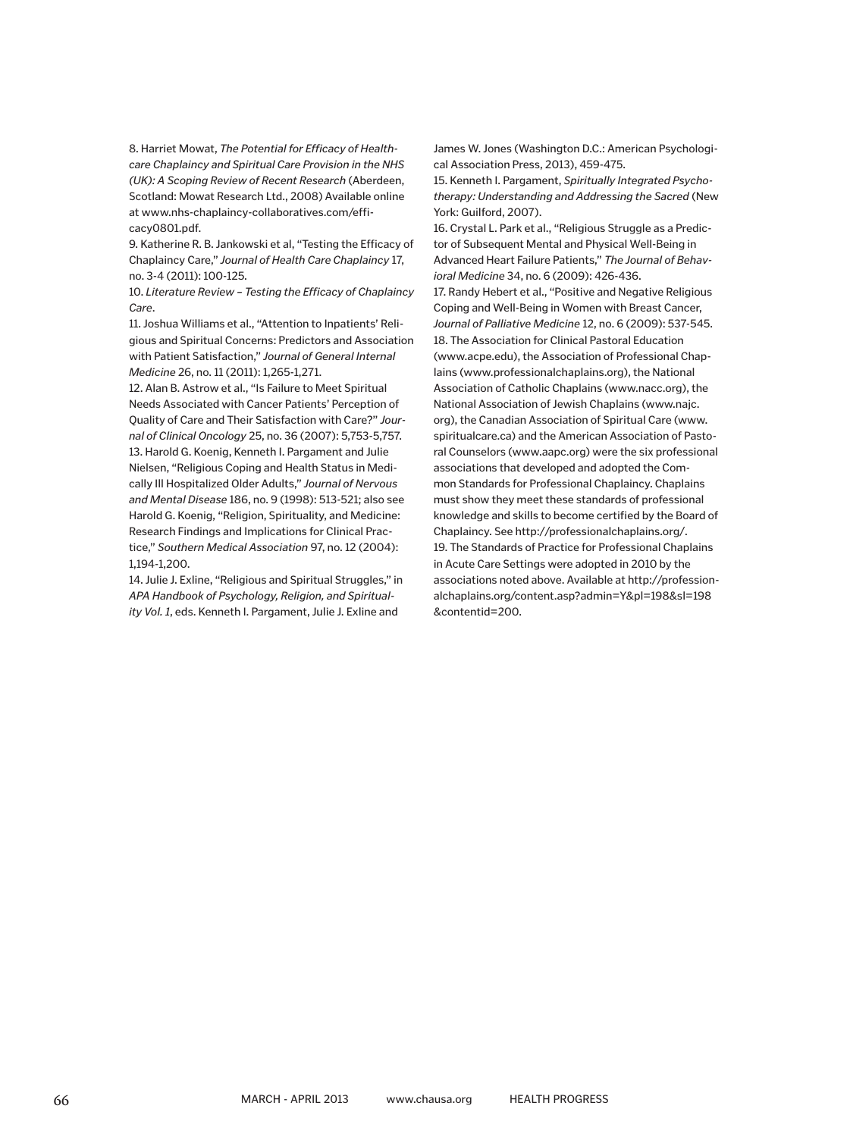8. Harriet Mowat, *The Potential for Efficacy of Healthcare Chaplaincy and Spiritual Care Provision in the NHS (UK): A Scoping Review of Recent Research* (Aberdeen, Scotland: Mowat Research Ltd., 2008) Available online at www.nhs-chaplaincy-collaboratives.com/efficacy0801.pdf.

9. Katherine R. B. Jankowski et al, "Testing the Efficacy of Chaplaincy Care," *Journal of Health Care Chaplaincy* 17, no. 3-4 (2011): 100-125.

10. *Literature Review – Testing the Efficacy of Chaplaincy Care*.

11. Joshua Williams et al., "Attention to Inpatients' Religious and Spiritual Concerns: Predictors and Association with Patient Satisfaction," *Journal of General Internal Medicine* 26, no. 11 (2011): 1,265-1,271.

12. Alan B. Astrow et al., "Is Failure to Meet Spiritual Needs Associated with Cancer Patients' Perception of Quality of Care and Their Satisfaction with Care?" *Journal of Clinical Oncology* 25, no. 36 (2007): 5,753-5,757. 13. Harold G. Koenig, Kenneth I. Pargament and Julie Nielsen, "Religious Coping and Health Status in Medically Ill Hospitalized Older Adults," *Journal of Nervous and Mental Disease* 186, no. 9 (1998): 513-521; also see Harold G. Koenig, "Religion, Spirituality, and Medicine: Research Findings and Implications for Clinical Practice," *Southern Medical Association* 97, no. 12 (2004): 1,194-1,200.

14. Julie J. Exline, "Religious and Spiritual Struggles," in *APA Handbook of Psychology, Religion, and Spirituality Vol. 1*, eds. Kenneth I. Pargament, Julie J. Exline and

James W. Jones (Washington D.C.: American Psychological Association Press, 2013), 459-475.

15. Kenneth I. Pargament, *Spiritually Integrated Psychotherapy: Understanding and Addressing the Sacred* (New York: Guilford, 2007).

16. Crystal L. Park et al., "Religious Struggle as a Predictor of Subsequent Mental and Physical Well-Being in Advanced Heart Failure Patients," *The Journal of Behavioral Medicine* 34, no. 6 (2009): 426-436.

17. Randy Hebert et al., "Positive and Negative Religious Coping and Well-Being in Women with Breast Cancer, *Journal of Palliative Medicine* 12, no. 6 (2009): 537-545. 18. The Association for Clinical Pastoral Education (www.acpe.edu), the Association of Professional Chaplains (www.professionalchaplains.org), the National Association of Catholic Chaplains (www.nacc.org), the National Association of Jewish Chaplains (www.najc. org), the Canadian Association of Spiritual Care (www. spiritualcare.ca) and the American Association of Pastoral Counselors (www.aapc.org) were the six professional associations that developed and adopted the Common Standards for Professional Chaplaincy. Chaplains must show they meet these standards of professional knowledge and skills to become certified by the Board of Chaplaincy. See http://professionalchaplains.org/. 19. The Standards of Practice for Professional Chaplains in Acute Care Settings were adopted in 2010 by the associations noted above. Available at http://professionalchaplains.org/content.asp?admin=Y&pl=198&sl=198 &contentid=200.